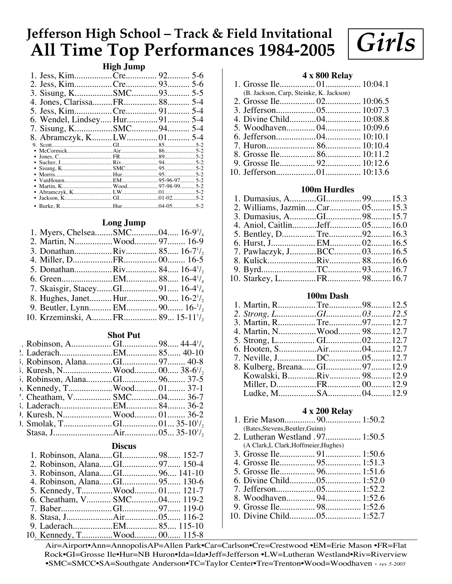# **Jefferson High School – Track & Field Invitational All Time Top Performances 1984-2005**

## **High Jump**

| 2. Jess, KimCre 93 5-6       |  |  |
|------------------------------|--|--|
| 3. Sisung, KSMC93 5-5        |  |  |
|                              |  |  |
| 5. Jess, KimCre 91 5-4       |  |  |
| 6. Wendel, Lindsey Hur91 5-4 |  |  |
| 7. Sisung, KSMC94 5-4        |  |  |
| 8. Abramczyk, KLW01 5-4      |  |  |
|                              |  |  |
|                              |  |  |
|                              |  |  |
|                              |  |  |
|                              |  |  |
|                              |  |  |
|                              |  |  |
|                              |  |  |
|                              |  |  |
|                              |  |  |
|                              |  |  |

# **Long Jump**

| 1. Myers, ChelseaSMC04 16-9 <sup>3</sup> / <sub>4</sub>  |  |  |
|----------------------------------------------------------|--|--|
| 2. Martin, NWood 97 16-9                                 |  |  |
| 3. DonathanRiv 85 16-7 <sup>1</sup> / <sub>2</sub>       |  |  |
|                                                          |  |  |
| 5. DonathanRiv 84 16-4 <sup>1</sup> / <sub>2</sub>       |  |  |
|                                                          |  |  |
|                                                          |  |  |
|                                                          |  |  |
| 9. Beutler, Lynn EM 90 16- $1/2$                         |  |  |
| 10. Krzeminski, AFR 89 15-11 <sup>1</sup> / <sub>2</sub> |  |  |
|                                                          |  |  |

#### **Shot Put**

| 5. Kennedy, TWood 01 37-1 |  |  |
|---------------------------|--|--|
| '. Cheatham, V SMC04 36-7 |  |  |
|                           |  |  |
|                           |  |  |
|                           |  |  |
|                           |  |  |
|                           |  |  |

### **Discus**

| 1. Robinson, AlanaGI98 152-7   |  |  |
|--------------------------------|--|--|
|                                |  |  |
| 3. Robinson, AlanaGI 96 141-10 |  |  |
|                                |  |  |
| 5. Kennedy, TWood 01 121-7     |  |  |
| 6. Cheatham, V SMC04 119-2     |  |  |
|                                |  |  |
|                                |  |  |
|                                |  |  |
| 10. Kennedy, TWood 00 115-8    |  |  |

# **4 x 800 Relay**

*Girls*

- 1. Grosse Ile................ 01................ 10:04.1 (B. Jackson, Carp, Steinke, K. Jackson)
- 2. Grosse Ile................ 02................ 10:06.5 3. Jefferson..................05................ 10:07.3 4. Divine Child............04................ 10:08.8 5. Woodhaven............. 04................ 10:09.6 6. Jefferson..................04................ 10:10.1
- 7. Huron...................... 86................ 10:10.4 8. Grosse Ile................ 86................ 10:11.2
- 9. Grosse Ile................ 92................ 10:12.6
- 10. Jefferson..................01................ 10:13.6

### **100m Hurdles**

| 2. Williams, JazminCar 05 15.3 |  |  |
|--------------------------------|--|--|
|                                |  |  |
| 4. Aniol, CaitlinJeff 05 16.0  |  |  |
|                                |  |  |
|                                |  |  |
| 7. Pawlaczyk, JBCC 03 16.5     |  |  |
|                                |  |  |
|                                |  |  |
|                                |  |  |
|                                |  |  |

# **100m Dash**

| 3. Martin, RTre97 12.7       |  |  |
|------------------------------|--|--|
| 4. Martin, NWood 98 12.7     |  |  |
|                              |  |  |
|                              |  |  |
|                              |  |  |
| 8. Kulberg, Breana GI97 12.9 |  |  |
|                              |  |  |
|                              |  |  |
| Indke M SA 04 129            |  |  |

#### **4 x 200 Relay**

| (Bates, Stevens, Beutler, Guinn) |  |
|----------------------------------|--|

- 2. Lutheran Westland .97................ 1:50.5 (A Clark,L Clark,Hoffmeier,Hughes)
- 3. Grosse Ile................ 91................ 1:50.6
- 4. Grosse Ile................ 95................ 1:51.3
- 5. Grosse Ile................ 96................ 1:51.6
- 6. Divine Child............05................ 1:52.0 7. Jefferson..................05................ 1:52.2
- 8. Woodhaven............. 94................ 1:52.6
- 9. Grosse Ile................ 98................ 1:52.6
- 10. Divine Child............05................ 1:52.7

Air=Airport•Ann=AnnopolisAP=Allen Park•Car=Carlson•Cre=Crestwood •EM=Erie Mason •FR=Flat Rock•GI=Grosse Ile•Hur=NB Huron•Ida=Ida•Jeff=Jefferson •LW=Lutheran Westland•Riv=Riverview •SMC=SMCC•SA=Southgate Anderson•TC=Taylor Center•Tre=Trenton•Wood=Woodhaven - *rev 5-2005*